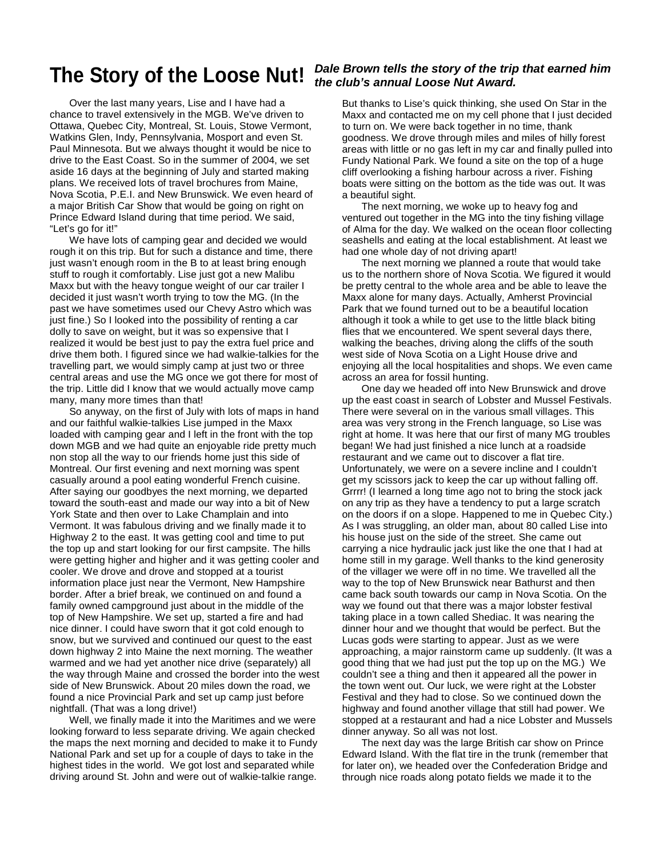Over the last many years, Lise and I have had a chance to travel extensively in the MGB. We've driven to Ottawa, Quebec City, Montreal, St. Louis, Stowe Vermont, Watkins Glen, Indy, Pennsylvania, Mosport and even St. Paul Minnesota. But we always thought it would be nice to drive to the East Coast. So in the summer of 2004, we set aside 16 days at the beginning of July and started making plans. We received lots of travel brochures from Maine, Nova Scotia, P.E.I. and New Brunswick. We even heard of a major British Car Show that would be going on right on Prince Edward Island during that time period. We said, "Let's go for it!"

We have lots of camping gear and decided we would rough it on this trip. But for such a distance and time, there just wasn't enough room in the B to at least bring enough stuff to rough it comfortably. Lise just got a new Malibu Maxx but with the heavy tongue weight of our car trailer I decided it just wasn't worth trying to tow the MG. (In the past we have sometimes used our Chevy Astro which was just fine.) So I looked into the possibility of renting a car dolly to save on weight, but it was so expensive that I realized it would be best just to pay the extra fuel price and drive them both. I figured since we had walkie-talkies for the travelling part, we would simply camp at just two or three central areas and use the MG once we got there for most of the trip. Little did I know that we would actually move camp many, many more times than that!

So anyway, on the first of July with lots of maps in hand and our faithful walkie-talkies Lise jumped in the Maxx loaded with camping gear and I left in the front with the top down MGB and we had quite an enjoyable ride pretty much non stop all the way to our friends home just this side of Montreal. Our first evening and next morning was spent casually around a pool eating wonderful French cuisine. After saying our goodbyes the next morning, we departed toward the south-east and made our way into a bit of New York State and then over to Lake Champlain and into Vermont. It was fabulous driving and we finally made it to Highway 2 to the east. It was getting cool and time to put the top up and start looking for our first campsite. The hills were getting higher and higher and it was getting cooler and cooler. We drove and drove and stopped at a tourist information place just near the Vermont, New Hampshire border. After a brief break, we continued on and found a family owned campground just about in the middle of the top of New Hampshire. We set up, started a fire and had nice dinner. I could have sworn that it got cold enough to snow, but we survived and continued our quest to the east down highway 2 into Maine the next morning. The weather warmed and we had yet another nice drive (separately) all the way through Maine and crossed the border into the west side of New Brunswick. About 20 miles down the road, we found a nice Provincial Park and set up camp just before nightfall. (That was a long drive!)

Well, we finally made it into the Maritimes and we were looking forward to less separate driving. We again checked the maps the next morning and decided to make it to Fundy National Park and set up for a couple of days to take in the highest tides in the world. We got lost and separated while driving around St. John and were out of walkie-talkie range.

## **The Story of the Loose Nut!** *Dale Brown tells the story of the trip that earned him the club's annual Loose Nut Award.*

But thanks to Lise's quick thinking, she used On Star in the Maxx and contacted me on my cell phone that I just decided to turn on. We were back together in no time, thank goodness. We drove through miles and miles of hilly forest areas with little or no gas left in my car and finally pulled into Fundy National Park. We found a site on the top of a huge cliff overlooking a fishing harbour across a river. Fishing boats were sitting on the bottom as the tide was out. It was a beautiful sight.

The next morning, we woke up to heavy fog and ventured out together in the MG into the tiny fishing village of Alma for the day. We walked on the ocean floor collecting seashells and eating at the local establishment. At least we had one whole day of not driving apart!

The next morning we planned a route that would take us to the northern shore of Nova Scotia. We figured it would be pretty central to the whole area and be able to leave the Maxx alone for many days. Actually, Amherst Provincial Park that we found turned out to be a beautiful location although it took a while to get use to the little black biting flies that we encountered. We spent several days there, walking the beaches, driving along the cliffs of the south west side of Nova Scotia on a Light House drive and enjoying all the local hospitalities and shops. We even came across an area for fossil hunting.

One day we headed off into New Brunswick and drove up the east coast in search of Lobster and Mussel Festivals. There were several on in the various small villages. This area was very strong in the French language, so Lise was right at home. It was here that our first of many MG troubles began! We had just finished a nice lunch at a roadside restaurant and we came out to discover a flat tire. Unfortunately, we were on a severe incline and I couldn't get my scissors jack to keep the car up without falling off. Grrrr! (I learned a long time ago not to bring the stock jack on any trip as they have a tendency to put a large scratch on the doors if on a slope. Happened to me in Quebec City.) As I was struggling, an older man, about 80 called Lise into his house just on the side of the street. She came out carrying a nice hydraulic jack just like the one that I had at home still in my garage. Well thanks to the kind generosity of the villager we were off in no time. We travelled all the way to the top of New Brunswick near Bathurst and then came back south towards our camp in Nova Scotia. On the way we found out that there was a major lobster festival taking place in a town called Shediac. It was nearing the dinner hour and we thought that would be perfect. But the Lucas gods were starting to appear. Just as we were approaching, a major rainstorm came up suddenly. (It was a good thing that we had just put the top up on the MG.) We couldn't see a thing and then it appeared all the power in the town went out. Our luck, we were right at the Lobster Festival and they had to close. So we continued down the highway and found another village that still had power. We stopped at a restaurant and had a nice Lobster and Mussels dinner anyway. So all was not lost.

The next day was the large British car show on Prince Edward Island. With the flat tire in the trunk (remember that for later on), we headed over the Confederation Bridge and through nice roads along potato fields we made it to the